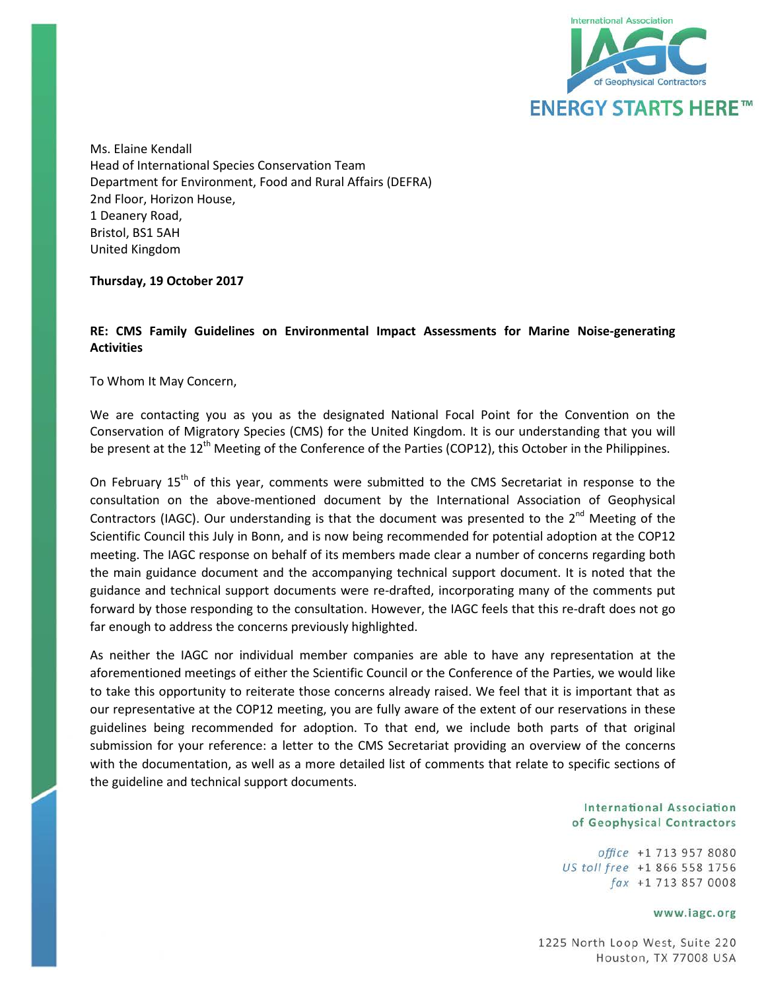

Ms. Elaine Kendall Head of International Species Conservation Team Department for Environment, Food and Rural Affairs (DEFRA) 2nd Floor, Horizon House, 1 Deanery Road, Bristol, BS1 5AH United Kingdom

**Thursday, 19 October 2017**

## **RE: CMS Family Guidelines on Environmental Impact Assessments for Marine Noise-generating Activities**

To Whom It May Concern,

We are contacting you as you as the designated National Focal Point for the Convention on the Conservation of Migratory Species (CMS) for the United Kingdom. It is our understanding that you will be present at the 12<sup>th</sup> Meeting of the Conference of the Parties (COP12), this October in the Philippines.

On February 15<sup>th</sup> of this year, comments were submitted to the CMS Secretariat in response to the consultation on the above-mentioned document by the International Association of Geophysical Contractors (IAGC). Our understanding is that the document was presented to the 2<sup>nd</sup> Meeting of the Scientific Council this July in Bonn, and is now being recommended for potential adoption at the COP12 meeting. The IAGC response on behalf of its members made clear a number of concerns regarding both the main guidance document and the accompanying technical support document. It is noted that the guidance and technical support documents were re-drafted, incorporating many of the comments put forward by those responding to the consultation. However, the IAGC feels that this re-draft does not go far enough to address the concerns previously highlighted.

As neither the IAGC nor individual member companies are able to have any representation at the aforementioned meetings of either the Scientific Council or the Conference of the Parties, we would like to take this opportunity to reiterate those concerns already raised. We feel that it is important that as our representative at the COP12 meeting, you are fully aware of the extent of our reservations in these guidelines being recommended for adoption. To that end, we include both parts of that original submission for your reference: a letter to the CMS Secretariat providing an overview of the concerns with the documentation, as well as a more detailed list of comments that relate to specific sections of the guideline and technical support documents.

> **International Association** of Geophysical Contractors

office +1 713 957 8080 US toll free +1 866 558 1756 fax +1 713 857 0008

## www.iagc.org

1225 North Loop West, Suite 220 Houston, TX 77008 USA